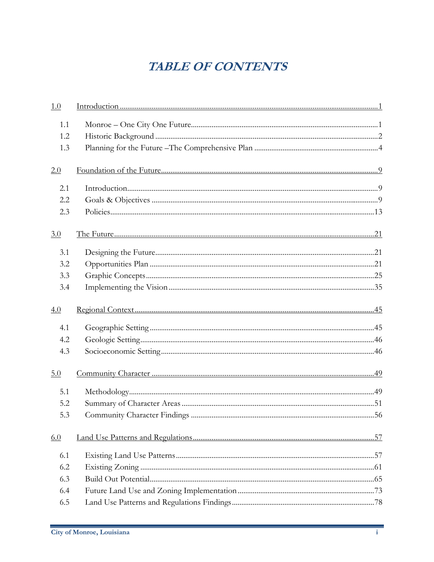## **TABLE OF CONTENTS**

| 1.0 |  |
|-----|--|
| 1.1 |  |
| 1.2 |  |
| 1.3 |  |
| 2.0 |  |
| 2.1 |  |
| 2.2 |  |
| 2.3 |  |
| 3.0 |  |
| 3.1 |  |
| 3.2 |  |
| 3.3 |  |
| 3.4 |  |
|     |  |
| 4.0 |  |
| 4.1 |  |
| 4.2 |  |
| 4.3 |  |
| 5.0 |  |
| 5.1 |  |
| 5.2 |  |
| 5.3 |  |
| 6.0 |  |
| 6.1 |  |
| 6.2 |  |
| 6.3 |  |
| 6.4 |  |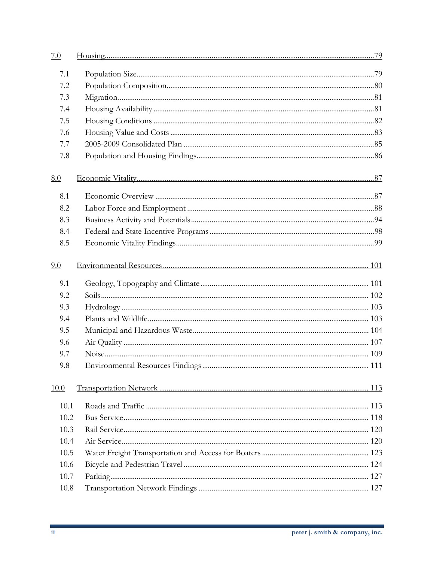| 7.0  |  |
|------|--|
| 7.1  |  |
| 7.2  |  |
| 7.3  |  |
| 7.4  |  |
| 7.5  |  |
| 7.6  |  |
| 7.7  |  |
| 7.8  |  |
| 8.0  |  |
| 8.1  |  |
| 8.2  |  |
| 8.3  |  |
| 8.4  |  |
| 8.5  |  |
| 9.0  |  |
| 9.1  |  |
| 9.2  |  |
| 9.3  |  |
| 9.4  |  |
| 9.5  |  |
| 9.6  |  |
| 9.7  |  |
| 9.8  |  |
| 10.0 |  |
| 10.1 |  |
| 10.2 |  |
| 10.3 |  |
| 10.4 |  |
| 10.5 |  |
| 10.6 |  |
| 10.7 |  |
| 10.8 |  |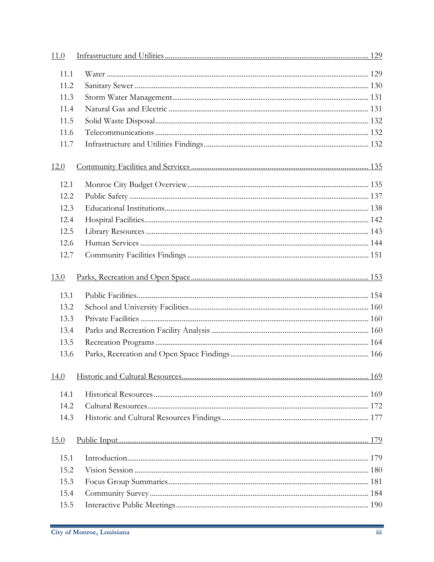| 11.0        |  |
|-------------|--|
| 11.1        |  |
| 11.2        |  |
| 11.3        |  |
| 11.4        |  |
| 11.5        |  |
| 11.6        |  |
| 11.7        |  |
| <u>12.0</u> |  |
| 12.1        |  |
| 12.2        |  |
| 12.3        |  |
| 12.4        |  |
| 12.5        |  |
| 12.6        |  |
| 12.7        |  |
| 13.0        |  |
| 13.1        |  |
| 13.2        |  |
| 13.3        |  |
| 13.4        |  |
| 13.5        |  |
| 13.6        |  |
| 14.0        |  |
| 14.1        |  |
| 14.2        |  |
| 14.3        |  |
| 15.0        |  |
| 15.1        |  |
| 15.2        |  |
| 15.3        |  |
| 15.4        |  |
| 15.5        |  |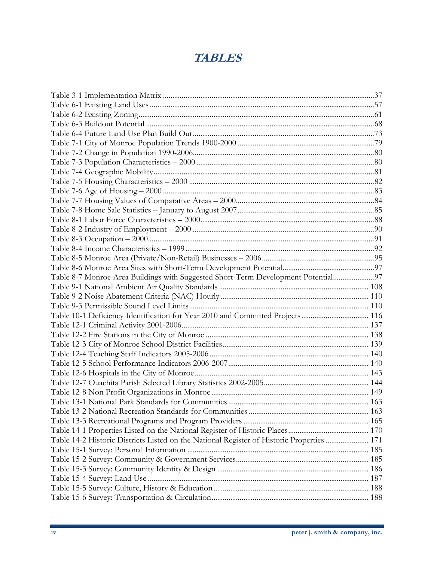## **TABLES**

| Table 8-7 Monroe Area Buildings with Suggested Short-Term Development Potential97         |  |
|-------------------------------------------------------------------------------------------|--|
|                                                                                           |  |
|                                                                                           |  |
|                                                                                           |  |
| Table 10-1 Deficiency Identification for Year 2010 and Committed Projects 116             |  |
|                                                                                           |  |
|                                                                                           |  |
|                                                                                           |  |
|                                                                                           |  |
|                                                                                           |  |
|                                                                                           |  |
|                                                                                           |  |
|                                                                                           |  |
|                                                                                           |  |
|                                                                                           |  |
|                                                                                           |  |
|                                                                                           |  |
| Table 14-2 Historic Districts Listed on the National Register of Historic Properties  171 |  |
|                                                                                           |  |
|                                                                                           |  |
|                                                                                           |  |
|                                                                                           |  |
|                                                                                           |  |
|                                                                                           |  |